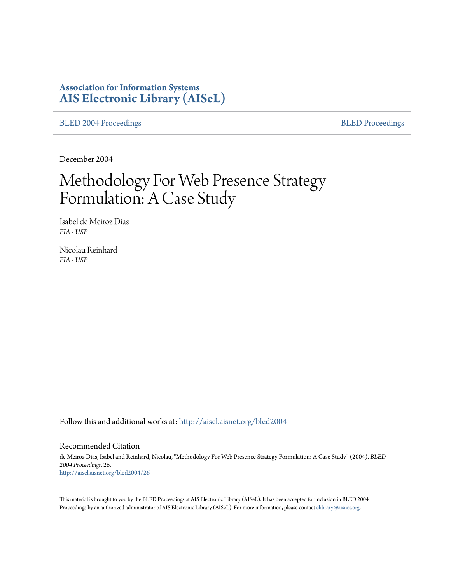# **Association for Information Systems [AIS Electronic Library \(AISeL\)](http://aisel.aisnet.org?utm_source=aisel.aisnet.org%2Fbled2004%2F26&utm_medium=PDF&utm_campaign=PDFCoverPages)**

[BLED 2004 Proceedings](http://aisel.aisnet.org/bled2004?utm_source=aisel.aisnet.org%2Fbled2004%2F26&utm_medium=PDF&utm_campaign=PDFCoverPages) **[BLED Proceedings](http://aisel.aisnet.org/bled?utm_source=aisel.aisnet.org%2Fbled2004%2F26&utm_medium=PDF&utm_campaign=PDFCoverPages)** 

December 2004

# Methodology For Web Presence Strategy Formulation: A Case Study

Isabel de Meiroz Dias *FIA - USP*

Nicolau Reinhard *FIA - USP*

Follow this and additional works at: [http://aisel.aisnet.org/bled2004](http://aisel.aisnet.org/bled2004?utm_source=aisel.aisnet.org%2Fbled2004%2F26&utm_medium=PDF&utm_campaign=PDFCoverPages)

#### Recommended Citation

de Meiroz Dias, Isabel and Reinhard, Nicolau, "Methodology For Web Presence Strategy Formulation: A Case Study" (2004). *BLED 2004 Proceedings*. 26. [http://aisel.aisnet.org/bled2004/26](http://aisel.aisnet.org/bled2004/26?utm_source=aisel.aisnet.org%2Fbled2004%2F26&utm_medium=PDF&utm_campaign=PDFCoverPages)

This material is brought to you by the BLED Proceedings at AIS Electronic Library (AISeL). It has been accepted for inclusion in BLED 2004 Proceedings by an authorized administrator of AIS Electronic Library (AISeL). For more information, please contact [elibrary@aisnet.org](mailto:elibrary@aisnet.org%3E).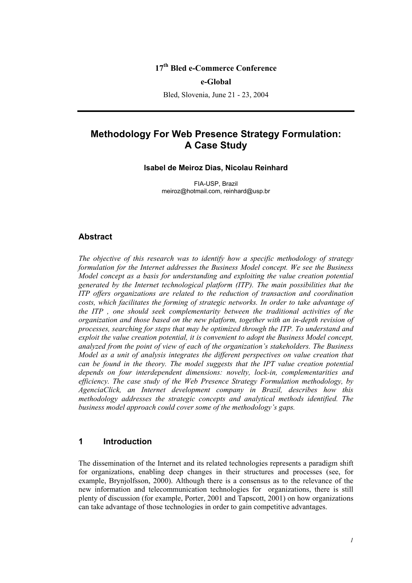## **17th Bled e-Commerce Conference**

#### **e-Global**

Bled, Slovenia, June 21 - 23, 2004

# **Methodology For Web Presence Strategy Formulation: A Case Study**

#### **Isabel de Meiroz Dias, Nicolau Reinhard**

FIA-USP, Brazil meiroz@hotmail.com, reinhard@usp.br

#### **Abstract**

*The objective of this research was to identify how a specific methodology of strategy formulation for the Internet addresses the Business Model concept. We see the Business Model concept as a basis for understanding and exploiting the value creation potential generated by the Internet technological platform (ITP). The main possibilities that the ITP offers organizations are related to the reduction of transaction and coordination costs, which facilitates the forming of strategic networks. In order to take advantage of the ITP , one should seek complementarity between the traditional activities of the organization and those based on the new platform, together with an in-depth revision of processes, searching for steps that may be optimized through the ITP. To understand and exploit the value creation potential, it is convenient to adopt the Business Model concept, analyzed from the point of view of each of the organization's stakeholders. The Business Model as a unit of analysis integrates the different perspectives on value creation that can be found in the theory. The model suggests that the IPT value creation potential depends on four interdependent dimensions: novelty, lock-in, complementarities and efficiency. The case study of the Web Presence Strategy Formulation methodology, by AgenciaClick, an Internet development company in Brazil, describes how this methodology addresses the strategic concepts and analytical methods identified. The business model approach could cover some of the methodology's gaps.* 

#### **1 Introduction**

The dissemination of the Internet and its related technologies represents a paradigm shift for organizations, enabling deep changes in their structures and processes (see, for example, Brynjolfsson, 2000). Although there is a consensus as to the relevance of the new information and telecommunication technologies for organizations, there is still plenty of discussion (for example, Porter, 2001 and Tapscott, 2001) on how organizations can take advantage of those technologies in order to gain competitive advantages.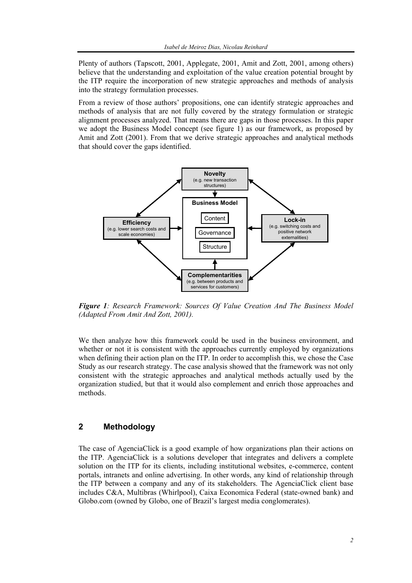Plenty of authors (Tapscott, 2001, Applegate, 2001, Amit and Zott, 2001, among others) believe that the understanding and exploitation of the value creation potential brought by the ITP require the incorporation of new strategic approaches and methods of analysis into the strategy formulation processes.

From a review of those authors' propositions, one can identify strategic approaches and methods of analysis that are not fully covered by the strategy formulation or strategic alignment processes analyzed. That means there are gaps in those processes. In this paper we adopt the Business Model concept (see figure 1) as our framework, as proposed by Amit and Zott (2001). From that we derive strategic approaches and analytical methods that should cover the gaps identified.



*Figure 1: Research Framework: Sources Of Value Creation And The Business Model (Adapted From Amit And Zott, 2001).* 

We then analyze how this framework could be used in the business environment, and whether or not it is consistent with the approaches currently employed by organizations when defining their action plan on the ITP. In order to accomplish this, we chose the Case Study as our research strategy. The case analysis showed that the framework was not only consistent with the strategic approaches and analytical methods actually used by the organization studied, but that it would also complement and enrich those approaches and methods.

# **2 Methodology**

The case of AgenciaClick is a good example of how organizations plan their actions on the ITP. AgenciaClick is a solutions developer that integrates and delivers a complete solution on the ITP for its clients, including institutional websites, e-commerce, content portals, intranets and online advertising. In other words, any kind of relationship through the ITP between a company and any of its stakeholders. The AgenciaClick client base includes C&A, Multibras (Whirlpool), Caixa Economica Federal (state-owned bank) and Globo.com (owned by Globo, one of Brazil's largest media conglomerates).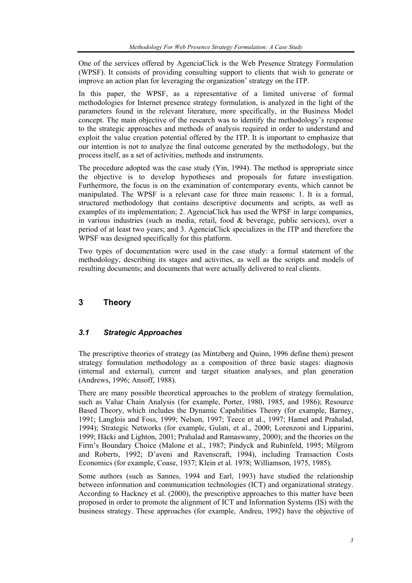One of the services offered by AgenciaClick is the Web Presence Strategy Formulation (WPSF). It consists of providing consulting support to clients that wish to generate or improve an action plan for leveraging the organization' strategy on the ITP.

In this paper, the WPSF, as a representative of a limited universe of formal methodologies for Internet presence strategy formulation, is analyzed in the light of the parameters found in the relevant literature, more specifically, in the Business Model concept. The main objective of the research was to identify the methodology's response to the strategic approaches and methods of analysis required in order to understand and exploit the value creation potential offered by the ITP. It is important to emphasize that our intention is not to analyze the final outcome generated by the methodology, but the process itself, as a set of activities, methods and instruments.

The procedure adopted was the case study (Yin, 1994). The method is appropriate since the objective is to develop hypotheses and proposals for future investigation. Furthermore, the focus is on the examination of contemporary events, which cannot be manipulated. The WPSF is a relevant case for three main reasons: 1. It is a formal, structured methodology that contains descriptive documents and scripts, as well as examples of its implementation; 2. AgenciaClick has used the WPSF in large companies, in various industries (such as media, retail, food & beverage, public services), over a period of at least two years; and 3. AgenciaClick specializes in the ITP and therefore the WPSF was designed specifically for this platform.

Two types of documentation were used in the case study: a formal statement of the methodology, describing its stages and activities, as well as the scripts and models of resulting documents; and documents that were actually delivered to real clients.

# **3 Theory**

# *3.1 Strategic Approaches*

The prescriptive theories of strategy (as Mintzberg and Quinn, 1996 define them) present strategy formulation methodology as a composition of three basic stages: diagnosis (internal and external), current and target situation analyses, and plan generation (Andrews, 1996; Ansoff, 1988).

There are many possible theoretical approaches to the problem of strategy formulation, such as Value Chain Analysis (for example, Porter, 1980, 1985, and 1986); Resource Based Theory, which includes the Dynamic Capabilities Theory (for example, Barney, 1991; Langlois and Foss, 1999; Nelson, 1997; Teece et al., 1997; Hamel and Prahalad, 1994); Strategic Networks (for example, Gulati, et al., 2000; Lorenzoni and Lipparini, 1999; Häcki and Lighton, 2001; Prahalad and Ramaswamy, 2000); and the theories on the Firm's Boundary Choice (Malone et al., 1987; Pindyck and Rubinfeld, 1995; Milgrom and Roberts, 1992; D'aveni and Ravenscraft, 1994), including Transaction Costs Economics (for example, Coase, 1937; Klein et al. 1978; Williamson, 1975, 1985).

Some authors (such as Sannes, 1994 and Earl, 1993) have studied the relationship between information and communication technologies (ICT) and organizational strategy. According to Hackney et al. (2000), the prescriptive approaches to this matter have been proposed in order to promote the alignment of ICT and Information Systems (IS) with the business strategy. These approaches (for example, Andreu, 1992) have the objective of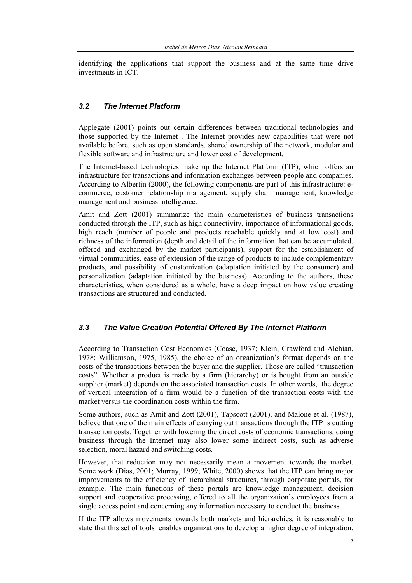identifying the applications that support the business and at the same time drive investments in ICT.

#### *3.2 The Internet Platform*

Applegate (2001) points out certain differences between traditional technologies and those supported by the Internet . The Internet provides new capabilities that were not available before, such as open standards, shared ownership of the network, modular and flexible software and infrastructure and lower cost of development.

The Internet-based technologies make up the Internet Platform (ITP), which offers an infrastructure for transactions and information exchanges between people and companies. According to Albertin (2000), the following components are part of this infrastructure: ecommerce, customer relationship management, supply chain management, knowledge management and business intelligence.

Amit and Zott (2001) summarize the main characteristics of business transactions conducted through the ITP, such as high connectivity, importance of informational goods, high reach (number of people and products reachable quickly and at low cost) and richness of the information (depth and detail of the information that can be accumulated, offered and exchanged by the market participants), support for the establishment of virtual communities, ease of extension of the range of products to include complementary products, and possibility of customization (adaptation initiated by the consumer) and personalization (adaptation initiated by the business). According to the authors, these characteristics, when considered as a whole, have a deep impact on how value creating transactions are structured and conducted.

#### *3.3 The Value Creation Potential Offered By The Internet Platform*

According to Transaction Cost Economics (Coase, 1937; Klein, Crawford and Alchian, 1978; Williamson, 1975, 1985), the choice of an organization's format depends on the costs of the transactions between the buyer and the supplier. Those are called "transaction costs". Whether a product is made by a firm (hierarchy) or is bought from an outside supplier (market) depends on the associated transaction costs. In other words, the degree of vertical integration of a firm would be a function of the transaction costs with the market versus the coordination costs within the firm.

Some authors, such as Amit and Zott (2001), Tapscott (2001), and Malone et al. (1987), believe that one of the main effects of carrying out transactions through the ITP is cutting transaction costs. Together with lowering the direct costs of economic transactions, doing business through the Internet may also lower some indirect costs, such as adverse selection, moral hazard and switching costs.

However, that reduction may not necessarily mean a movement towards the market. Some work (Dias, 2001; Murray, 1999; White, 2000) shows that the ITP can bring major improvements to the efficiency of hierarchical structures, through corporate portals, for example. The main functions of these portals are knowledge management, decision support and cooperative processing, offered to all the organization's employees from a single access point and concerning any information necessary to conduct the business.

If the ITP allows movements towards both markets and hierarchies, it is reasonable to state that this set of tools enables organizations to develop a higher degree of integration,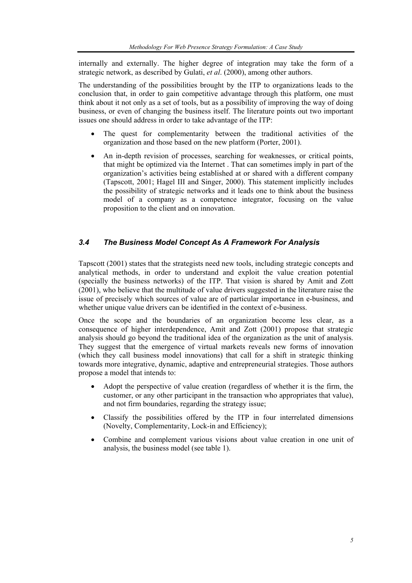internally and externally. The higher degree of integration may take the form of a strategic network, as described by Gulati, *et al*. (2000), among other authors.

The understanding of the possibilities brought by the ITP to organizations leads to the conclusion that, in order to gain competitive advantage through this platform, one must think about it not only as a set of tools, but as a possibility of improving the way of doing business, or even of changing the business itself. The literature points out two important issues one should address in order to take advantage of the ITP:

- The quest for complementarity between the traditional activities of the organization and those based on the new platform (Porter, 2001).
- An in-depth revision of processes, searching for weaknesses, or critical points, that might be optimized via the Internet . That can sometimes imply in part of the organization's activities being established at or shared with a different company (Tapscott, 2001; Hagel III and Singer, 2000). This statement implicitly includes the possibility of strategic networks and it leads one to think about the business model of a company as a competence integrator, focusing on the value proposition to the client and on innovation.

### *3.4 The Business Model Concept As A Framework For Analysis*

Tapscott (2001) states that the strategists need new tools, including strategic concepts and analytical methods, in order to understand and exploit the value creation potential (specially the business networks) of the ITP. That vision is shared by Amit and Zott (2001), who believe that the multitude of value drivers suggested in the literature raise the issue of precisely which sources of value are of particular importance in e-business, and whether unique value drivers can be identified in the context of e-business.

Once the scope and the boundaries of an organization become less clear, as a consequence of higher interdependence, Amit and Zott (2001) propose that strategic analysis should go beyond the traditional idea of the organization as the unit of analysis. They suggest that the emergence of virtual markets reveals new forms of innovation (which they call business model innovations) that call for a shift in strategic thinking towards more integrative, dynamic, adaptive and entrepreneurial strategies. Those authors propose a model that intends to:

- Adopt the perspective of value creation (regardless of whether it is the firm, the customer, or any other participant in the transaction who appropriates that value), and not firm boundaries, regarding the strategy issue;
- Classify the possibilities offered by the ITP in four interrelated dimensions (Novelty, Complementarity, Lock-in and Efficiency);
- Combine and complement various visions about value creation in one unit of analysis, the business model (see table 1).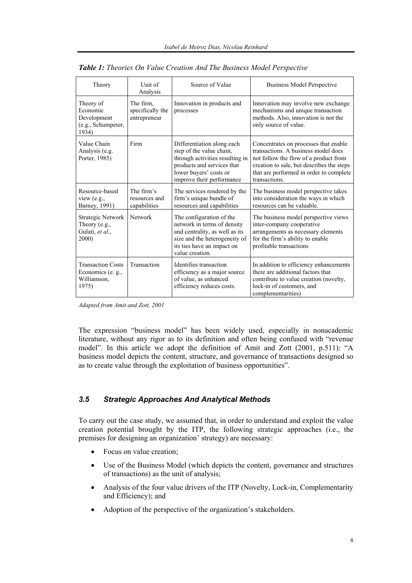| Theory                                                                | Unit of<br>Analysis                           | Source of Value                                                                                                                                                                | <b>Business Model Perspective</b>                                                                                                                                                                                              |
|-----------------------------------------------------------------------|-----------------------------------------------|--------------------------------------------------------------------------------------------------------------------------------------------------------------------------------|--------------------------------------------------------------------------------------------------------------------------------------------------------------------------------------------------------------------------------|
| Theory of<br>Economic<br>Development<br>(e.g., Schumpeter,<br>1934)   | The firm.<br>specifically the<br>entrepreneur | Innovation in products and<br>processes                                                                                                                                        | Innovation may involve new exchange<br>mechanisms and unique transaction<br>methods. Also, innovation is not the<br>only source of value.                                                                                      |
| Value Chain<br>Analysis (e.g.<br>Porter, 1985)                        | Firm                                          | Differentiation along each<br>step of the value chain,<br>through activities resulting in<br>products and services that<br>lower buyers' costs or<br>improve their performance | Concentrates on processes that enable<br>transactions. A business model does<br>not follow the flow of a product from<br>creation to sale, but describes the steps<br>that are performed in order to complete<br>transactions. |
| Resource-based<br>view $(e.g.,$<br>Barney, 1991)                      | The firm's<br>resources and<br>capabilities   | The services rendered by the<br>firm's unique bundle of<br>resources and capabilities                                                                                          | The business model perspective takes<br>into consideration the ways in which<br>resources can be valuable.                                                                                                                     |
| <b>Strategic Network</b><br>Theory (e.g.,<br>Gulati, et al.,<br>2000) | Network                                       | The configuration of the<br>network in terms of density<br>and centrality, as well as its<br>size and the heterogeneity of<br>its ties have an impact on<br>value creation.    | The business model perspective views<br>inter-company cooperative<br>arrangements as necessary elements<br>for the firm's ability to enable<br>profitable transactions                                                         |
| <b>Transaction Costs</b><br>Economics (e. g.,<br>Williamson,<br>1975) | Transaction                                   | Identifies transaction<br>efficiency as a major source<br>of value, as enhanced<br>efficiency reduces costs.                                                                   | In addition to efficiency enhancements<br>there are additional factors that<br>contribute to value creation (novelty,<br>lock-in of customers, and<br>complementarities)                                                       |

|  |  |  |  |  |  |  | <b>Table 1:</b> Theories On Value Creation And The Business Model Perspective |
|--|--|--|--|--|--|--|-------------------------------------------------------------------------------|
|--|--|--|--|--|--|--|-------------------------------------------------------------------------------|

*Adapted from Amit and Zott, 2001* 

The expression "business model" has been widely used, especially in nonacademic literature, without any rigor as to its definition and often being confused with "revenue model". In this article we adopt the definition of Amit and Zott (2001, p.511): "A business model depicts the content, structure, and governance of transactions designed so as to create value through the exploitation of business opportunities".

#### *3.5 Strategic Approaches And Analytical Methods*

To carry out the case study, we assumed that, in order to understand and exploit the value creation potential brought by the ITP, the following strategic approaches (i.e., the premises for designing an organization' strategy) are necessary:

- Focus on value creation;
- Use of the Business Model (which depicts the content, governance and structures of transactions) as the unit of analysis;
- Analysis of the four value drivers of the ITP (Novelty, Lock-in, Complementarity and Efficiency); and
- Adoption of the perspective of the organization's stakeholders.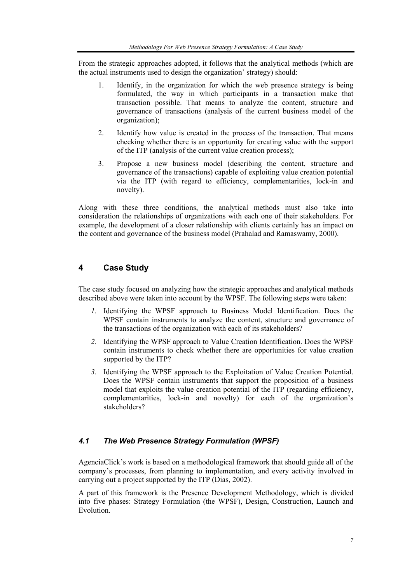From the strategic approaches adopted, it follows that the analytical methods (which are the actual instruments used to design the organization' strategy) should:

- 1. Identify, in the organization for which the web presence strategy is being formulated, the way in which participants in a transaction make that transaction possible. That means to analyze the content, structure and governance of transactions (analysis of the current business model of the organization);
- 2. Identify how value is created in the process of the transaction. That means checking whether there is an opportunity for creating value with the support of the ITP (analysis of the current value creation process);
- 3. Propose a new business model (describing the content, structure and governance of the transactions) capable of exploiting value creation potential via the ITP (with regard to efficiency, complementarities, lock-in and novelty).

Along with these three conditions, the analytical methods must also take into consideration the relationships of organizations with each one of their stakeholders. For example, the development of a closer relationship with clients certainly has an impact on the content and governance of the business model (Prahalad and Ramaswamy, 2000).

# **4 Case Study**

The case study focused on analyzing how the strategic approaches and analytical methods described above were taken into account by the WPSF. The following steps were taken:

- *1.* Identifying the WPSF approach to Business Model Identification. Does the WPSF contain instruments to analyze the content, structure and governance of the transactions of the organization with each of its stakeholders?
- *2.* Identifying the WPSF approach to Value Creation Identification. Does the WPSF contain instruments to check whether there are opportunities for value creation supported by the ITP?
- *3.* Identifying the WPSF approach to the Exploitation of Value Creation Potential. Does the WPSF contain instruments that support the proposition of a business model that exploits the value creation potential of the ITP (regarding efficiency, complementarities, lock-in and novelty) for each of the organization's stakeholders?

# *4.1 The Web Presence Strategy Formulation (WPSF)*

AgenciaClick's work is based on a methodological framework that should guide all of the company's processes, from planning to implementation, and every activity involved in carrying out a project supported by the ITP (Dias, 2002).

A part of this framework is the Presence Development Methodology, which is divided into five phases: Strategy Formulation (the WPSF), Design, Construction, Launch and Evolution.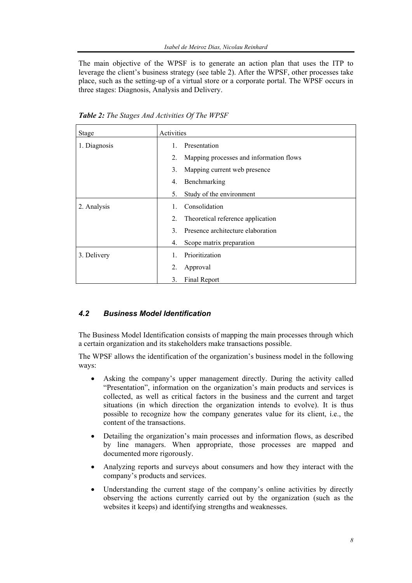The main objective of the WPSF is to generate an action plan that uses the ITP to leverage the client's business strategy (see table 2). After the WPSF, other processes take place, such as the setting-up of a virtual store or a corporate portal. The WPSF occurs in three stages: Diagnosis, Analysis and Delivery.

| <b>Stage</b> | Activities                                    |
|--------------|-----------------------------------------------|
| 1. Diagnosis | Presentation<br>$\mathbf{1}$                  |
|              | Mapping processes and information flows<br>2. |
|              | 3.<br>Mapping current web presence            |
|              | Benchmarking<br>4.                            |
|              | Study of the environment<br>5.                |
| 2. Analysis  | Consolidation                                 |
|              | 2.<br>Theoretical reference application       |
|              | Presence architecture elaboration<br>3.       |
|              | Scope matrix preparation<br>4.                |
| 3. Delivery  | Prioritization<br>1.                          |
|              | 2.<br>Approval                                |
|              | 3.<br>Final Report                            |

*Table 2: The Stages And Activities Of The WPSF* 

#### *4.2 Business Model Identification*

The Business Model Identification consists of mapping the main processes through which a certain organization and its stakeholders make transactions possible.

The WPSF allows the identification of the organization's business model in the following ways:

- Asking the company's upper management directly. During the activity called "Presentation", information on the organization's main products and services is collected, as well as critical factors in the business and the current and target situations (in which direction the organization intends to evolve). It is thus possible to recognize how the company generates value for its client, i.e., the content of the transactions.
- Detailing the organization's main processes and information flows, as described by line managers. When appropriate, those processes are mapped and documented more rigorously.
- Analyzing reports and surveys about consumers and how they interact with the company's products and services.
- Understanding the current stage of the company's online activities by directly observing the actions currently carried out by the organization (such as the websites it keeps) and identifying strengths and weaknesses.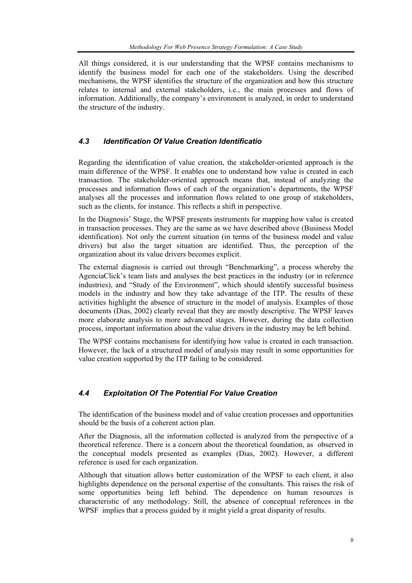All things considered, it is our understanding that the WPSF contains mechanisms to identify the business model for each one of the stakeholders. Using the described mechanisms, the WPSF identifies the structure of the organization and how this structure relates to internal and external stakeholders, i.e., the main processes and flows of information. Additionally, the company's environment is analyzed, in order to understand the structure of the industry.

### *4.3 Identification Of Value Creation Identificatio*

Regarding the identification of value creation, the stakeholder-oriented approach is the main difference of the WPSF. It enables one to understand how value is created in each transaction. The stakeholder-oriented approach means that, instead of analyzing the processes and information flows of each of the organization's departments, the WPSF analyses all the processes and information flows related to one group of stakeholders, such as the clients, for instance. This reflects a shift in perspective.

In the Diagnosis' Stage, the WPSF presents instruments for mapping how value is created in transaction processes. They are the same as we have described above (Business Model identification). Not only the current situation (in terms of the business model and value drivers) but also the target situation are identified. Thus, the perception of the organization about its value drivers becomes explicit.

The external diagnosis is carried out through "Benchmarking", a process whereby the AgenciaClick's team lists and analyses the best practices in the industry (or in reference industries), and "Study of the Environment", which should identify successful business models in the industry and how they take advantage of the ITP. The results of these activities highlight the absence of structure in the model of analysis. Examples of those documents (Dias, 2002) clearly reveal that they are mostly descriptive. The WPSF leaves more elaborate analysis to more advanced stages. However, during the data collection process, important information about the value drivers in the industry may be left behind.

The WPSF contains mechanisms for identifying how value is created in each transaction. However, the lack of a structured model of analysis may result in some opportunities for value creation supported by the ITP failing to be considered.

# *4.4 Exploitation Of The Potential For Value Creation*

The identification of the business model and of value creation processes and opportunities should be the basis of a coherent action plan.

After the Diagnosis, all the information collected is analyzed from the perspective of a theoretical reference. There is a concern about the theoretical foundation, as observed in the conceptual models presented as examples (Dias, 2002). However, a different reference is used for each organization.

Although that situation allows better customization of the WPSF to each client, it also highlights dependence on the personal expertise of the consultants. This raises the risk of some opportunities being left behind. The dependence on human resources is characteristic of any methodology. Still, the absence of conceptual references in the WPSF implies that a process guided by it might yield a great disparity of results.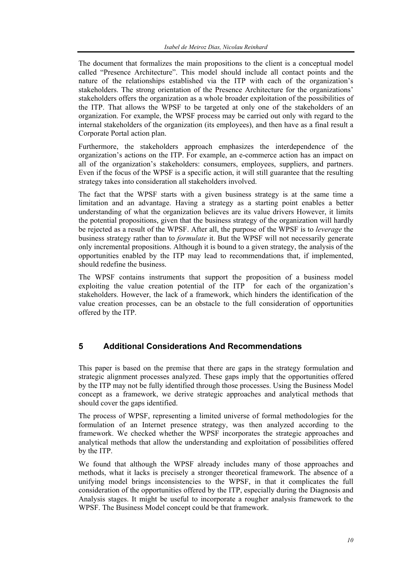The document that formalizes the main propositions to the client is a conceptual model called "Presence Architecture". This model should include all contact points and the nature of the relationships established via the ITP with each of the organization's stakeholders. The strong orientation of the Presence Architecture for the organizations' stakeholders offers the organization as a whole broader exploitation of the possibilities of the ITP. That allows the WPSF to be targeted at only one of the stakeholders of an organization. For example, the WPSF process may be carried out only with regard to the internal stakeholders of the organization (its employees), and then have as a final result a Corporate Portal action plan.

Furthermore, the stakeholders approach emphasizes the interdependence of the organization's actions on the ITP. For example, an e-commerce action has an impact on all of the organization's stakeholders: consumers, employees, suppliers, and partners. Even if the focus of the WPSF is a specific action, it will still guarantee that the resulting strategy takes into consideration all stakeholders involved.

The fact that the WPSF starts with a given business strategy is at the same time a limitation and an advantage. Having a strategy as a starting point enables a better understanding of what the organization believes are its value drivers However, it limits the potential propositions, given that the business strategy of the organization will hardly be rejected as a result of the WPSF. After all, the purpose of the WPSF is to *leverage* the business strategy rather than to *formulate* it. But the WPSF will not necessarily generate only incremental propositions. Although it is bound to a given strategy, the analysis of the opportunities enabled by the ITP may lead to recommendations that, if implemented, should redefine the business.

The WPSF contains instruments that support the proposition of a business model exploiting the value creation potential of the ITP for each of the organization's stakeholders. However, the lack of a framework, which hinders the identification of the value creation processes, can be an obstacle to the full consideration of opportunities offered by the ITP.

# **5 Additional Considerations And Recommendations**

This paper is based on the premise that there are gaps in the strategy formulation and strategic alignment processes analyzed. These gaps imply that the opportunities offered by the ITP may not be fully identified through those processes. Using the Business Model concept as a framework, we derive strategic approaches and analytical methods that should cover the gaps identified.

The process of WPSF, representing a limited universe of formal methodologies for the formulation of an Internet presence strategy, was then analyzed according to the framework. We checked whether the WPSF incorporates the strategic approaches and analytical methods that allow the understanding and exploitation of possibilities offered by the ITP.

We found that although the WPSF already includes many of those approaches and methods, what it lacks is precisely a stronger theoretical framework. The absence of a unifying model brings inconsistencies to the WPSF, in that it complicates the full consideration of the opportunities offered by the ITP, especially during the Diagnosis and Analysis stages. It might be useful to incorporate a rougher analysis framework to the WPSF. The Business Model concept could be that framework.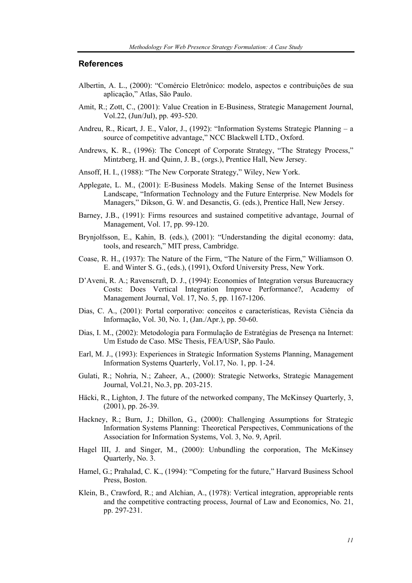#### **References**

- Albertin, A. L., (2000): "Comércio Eletrônico: modelo, aspectos e contribuições de sua aplicação," Atlas, São Paulo.
- Amit, R.; Zott, C., (2001): Value Creation in E-Business, Strategic Management Journal, Vol.22, (Jun/Jul), pp. 493-520.
- Andreu, R., Ricart, J. E., Valor, J., (1992): "Information Systems Strategic Planning a source of competitive advantage," NCC Blackwell LTD., Oxford.
- Andrews, K. R., (1996): The Concept of Corporate Strategy, "The Strategy Process," Mintzberg, H. and Quinn, J. B., (orgs.), Prentice Hall, New Jersey.
- Ansoff, H. I., (1988): "The New Corporate Strategy," Wiley, New York.
- Applegate, L. M., (2001): E-Business Models. Making Sense of the Internet Business Landscape, "Information Technology and the Future Enterprise. New Models for Managers," Dikson, G. W. and Desanctis, G. (eds.), Prentice Hall, New Jersey.
- Barney, J.B., (1991): Firms resources and sustained competitive advantage, Journal of Management, Vol. 17, pp. 99-120.
- Brynjolfsson, E., Kahin, B. (eds.), (2001): "Understanding the digital economy: data, tools, and research," MIT press, Cambridge.
- Coase, R. H., (1937): The Nature of the Firm, "The Nature of the Firm," Williamson O. E. and Winter S. G., (eds.), (1991), Oxford University Press, New York.
- D'Aveni, R. A.; Ravenscraft, D. J., (1994): Economies of Integration versus Bureaucracy Costs: Does Vertical Integration Improve Performance?, Academy of Management Journal, Vol. 17, No. 5, pp. 1167-1206.
- Dias, C. A., (2001): Portal corporativo: conceitos e características, Revista Ciência da Informação, Vol. 30, No. 1, (Jan./Apr.), pp. 50-60.
- Dias, I. M., (2002): Metodologia para Formulação de Estratégias de Presença na Internet: Um Estudo de Caso. MSc Thesis, FEA/USP, São Paulo.
- Earl, M. J., (1993): Experiences in Strategic Information Systems Planning, Management Information Systems Quarterly, Vol.17, No. 1, pp. 1-24.
- Gulati, R.; Nohria, N.; Zaheer, A., (2000): Strategic Networks, Strategic Management Journal, Vol.21, No.3, pp. 203-215.
- Häcki, R., Lighton, J. The future of the networked company, The McKinsey Quarterly, 3, (2001), pp. 26-39.
- Hackney, R.; Burn, J.; Dhillon, G., (2000): Challenging Assumptions for Strategic Information Systems Planning: Theoretical Perspectives, Communications of the Association for Information Systems, Vol. 3, No. 9, April.
- Hagel III, J. and Singer, M., (2000): Unbundling the corporation, The McKinsey Quarterly, No. 3.
- Hamel, G.; Prahalad, C. K., (1994): "Competing for the future," Harvard Business School Press, Boston.
- Klein, B., Crawford, R.; and Alchian, A., (1978): Vertical integration, appropriable rents and the competitive contracting process, Journal of Law and Economics, No. 21, pp. 297-231.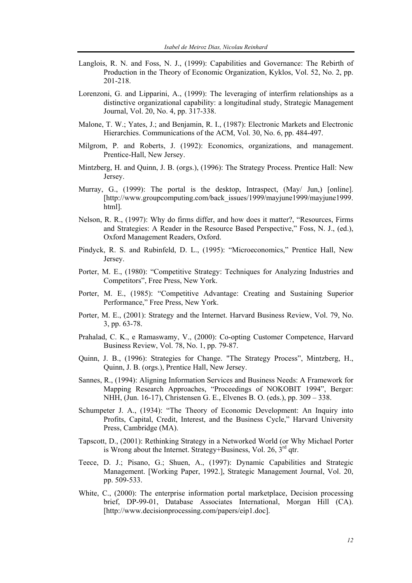- Langlois, R. N. and Foss, N. J., (1999): Capabilities and Governance: The Rebirth of Production in the Theory of Economic Organization, Kyklos, Vol. 52, No. 2, pp. 201-218.
- Lorenzoni, G. and Lipparini, A., (1999): The leveraging of interfirm relationships as a distinctive organizational capability: a longitudinal study, Strategic Management Journal, Vol. 20, No. 4, pp. 317-338.
- Malone, T. W.; Yates, J.; and Benjamin, R. I., (1987): Electronic Markets and Electronic Hierarchies. Communications of the ACM, Vol. 30, No. 6, pp. 484-497.
- Milgrom, P. and Roberts, J. (1992): Economics, organizations, and management. Prentice-Hall, New Jersey.
- Mintzberg, H. and Quinn, J. B. (orgs.), (1996): The Strategy Process. Prentice Hall: New Jersey.
- Murray, G., (1999): The portal is the desktop, Intraspect, (May/ Jun,) [online]. [http://www.groupcomputing.com/back\_issues/1999/mayjune1999/mayjune1999. html].
- Nelson, R. R., (1997): Why do firms differ, and how does it matter?, "Resources, Firms and Strategies: A Reader in the Resource Based Perspective," Foss, N. J., (ed.), Oxford Management Readers, Oxford.
- Pindyck, R. S. and Rubinfeld, D. L., (1995): "Microeconomics," Prentice Hall, New Jersey.
- Porter, M. E., (1980): "Competitive Strategy: Techniques for Analyzing Industries and Competitors", Free Press, New York.
- Porter, M. E., (1985): "Competitive Advantage: Creating and Sustaining Superior Performance," Free Press, New York.
- Porter, M. E., (2001): Strategy and the Internet. Harvard Business Review, Vol. 79, No. 3, pp. 63-78.
- Prahalad, C. K., e Ramaswamy, V., (2000): Co-opting Customer Competence, Harvard Business Review, Vol. 78, No. 1, pp. 79-87.
- Quinn, J. B., (1996): Strategies for Change. "The Strategy Process", Mintzberg, H., Quinn, J. B. (orgs.), Prentice Hall, New Jersey.
- Sannes, R., (1994): Aligning Information Services and Business Needs: A Framework for Mapping Research Approaches, "Proceedings of NOKOBIT 1994", Berger: NHH, (Jun. 16-17), Christensen G. E., Elvenes B. O. (eds.), pp. 309 – 338.
- Schumpeter J. A., (1934): "The Theory of Economic Development: An Inquiry into Profits, Capital, Credit, Interest, and the Business Cycle," Harvard University Press, Cambridge (MA).
- Tapscott, D., (2001): Rethinking Strategy in a Networked World (or Why Michael Porter is Wrong about the Internet. Strategy+Business, Vol. 26,  $3<sup>rd</sup>$  qtr.
- Teece, D. J.; Pisano, G.; Shuen, A., (1997): Dynamic Capabilities and Strategic Management. [Working Paper, 1992.], Strategic Management Journal, Vol. 20, pp. 509-533.
- White, C., (2000): The enterprise information portal marketplace, Decision processing brief, DP-99-01, Database Associates International, Morgan Hill (CA). [http://www.decisionprocessing.com/papers/eip1.doc].